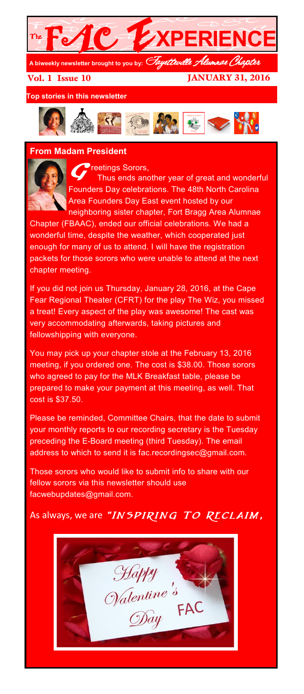

Vol. 1 Issue 10

JANUARY 31, 2016

**Top stories in this newsletter**



## **From Madam President**



*reetings Sorors,* Thus ends another year of great and wonderful Founders Day celebrations. The 48th North Carolina Area Founders Day East event hosted by our neighboring sister chapter, Fort Bragg Area Alumnae

Chapter (FBAAC), ended our official celebrations. We had a wonderful time, despite the weather, which cooperated just enough for many of us to attend. I will have the registration packets for those sorors who were unable to attend at the next chapter meeting.

If you did not join us Thursday, January 28, 2016, at the Cape Fear Regional Theater (CFRT) for the play The Wiz, you missed a treat! Every aspect of the play was awesome! The cast was very accommodating afterwards, taking pictures and fellowshipping with everyone.

You may pick up your chapter stole at the February 13, 2016 meeting, if you ordered one. The cost is \$38.00. Those sorors who agreed to pay for the MLK Breakfast table, please be prepared to make your payment at this meeting, as well. That cost is \$37.50.

Please be reminded, Committee Chairs, that the date to submit your monthly reports to our recording secretary is the Tuesday preceding the E-Board meeting (third Tuesday). The email address to which to send it is fac.recordingsec@gmail.com.

Those sorors who would like to submit info to share with our fellow sorors via this newsletter should use facwebupdates@gmail.com.

As always, we are "INSPIRING TO RECLAIM,